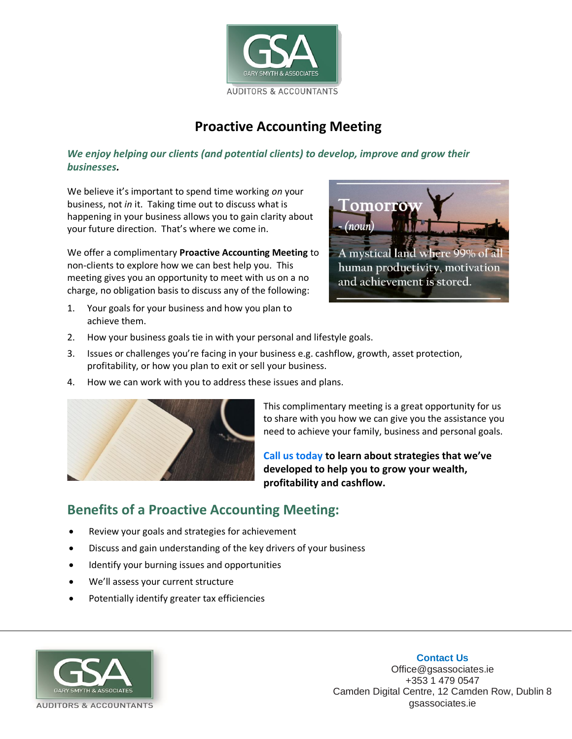

## **Proactive Accounting Meeting**

## *We enjoy helping our clients (and potential clients) to develop, improve and grow their businesses.*

We believe it's important to spend time working *on* your business, not *in* it. Taking time out to discuss what is happening in your business allows you to gain clarity about your future direction. That's where we come in.

We offer a complimentary **Proactive Accounting Meeting** to non-clients to explore how we can best help you. This meeting gives you an opportunity to meet with us on a no charge, no obligation basis to discuss any of the following:



- 1. Your goals for your business and how you plan to achieve them.
- 2. How your business goals tie in with your personal and lifestyle goals.
- 3. Issues or challenges you're facing in your business e.g. cashflow, growth, asset protection, profitability, or how you plan to exit or sell your business.
- 4. How we can work with you to address these issues and plans.



This complimentary meeting is a great opportunity for us to share with you how we can give you the assistance you need to achieve your family, business and personal goals.

**Call us today to learn about strategies that we've developed to help you to grow your wealth, profitability and cashflow.**

## **Benefits of a Proactive Accounting Meeting:**

- Review your goals and strategies for achievement
- Discuss and gain understanding of the key drivers of your business
- Identify your burning issues and opportunities
- We'll assess your current structure
- Potentially identify greater tax efficiencies



## **Contact Us**

Office@gsassociates.ie +353 1 479 0547 Camden Digital Centre, 12 Camden Row, Dublin 8 gsassociates.ie